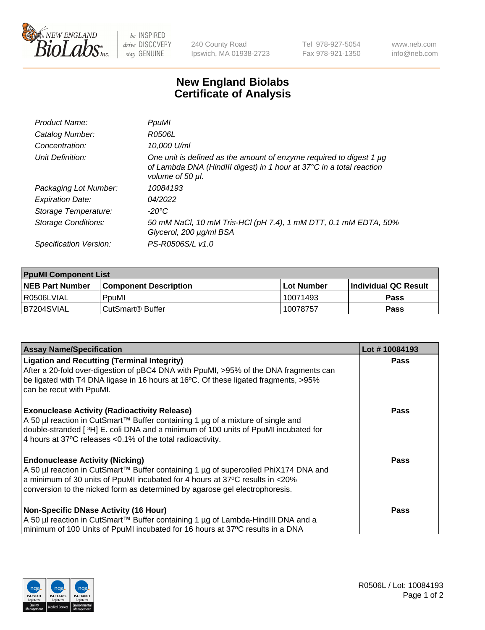

 $be$  INSPIRED drive DISCOVERY stay GENUINE

240 County Road Ipswich, MA 01938-2723 Tel 978-927-5054 Fax 978-921-1350

www.neb.com info@neb.com

## **New England Biolabs Certificate of Analysis**

| Product Name:           | PpuMI                                                                                                                                                                |
|-------------------------|----------------------------------------------------------------------------------------------------------------------------------------------------------------------|
| Catalog Number:         | R0506L                                                                                                                                                               |
| Concentration:          | 10,000 U/ml                                                                                                                                                          |
| Unit Definition:        | One unit is defined as the amount of enzyme required to digest 1 $\mu$ g<br>of Lambda DNA (HindIII digest) in 1 hour at 37°C in a total reaction<br>volume of 50 µl. |
| Packaging Lot Number:   | 10084193                                                                                                                                                             |
| <b>Expiration Date:</b> | 04/2022                                                                                                                                                              |
| Storage Temperature:    | -20°C                                                                                                                                                                |
| Storage Conditions:     | 50 mM NaCl, 10 mM Tris-HCl (pH 7.4), 1 mM DTT, 0.1 mM EDTA, 50%<br>Glycerol, 200 µg/ml BSA                                                                           |
| Specification Version:  | PS-R0506S/L v1.0                                                                                                                                                     |

| <b>PpuMI Component List</b> |                              |            |                             |  |  |
|-----------------------------|------------------------------|------------|-----------------------------|--|--|
| <b>NEB Part Number</b>      | <b>Component Description</b> | Lot Number | <b>Individual QC Result</b> |  |  |
| l R0506LVIAL                | PpuMI                        | 10071493   | Pass                        |  |  |
| IB7204SVIAL                 | CutSmart® Buffer             | 10078757   | <b>Pass</b>                 |  |  |

| <b>Assay Name/Specification</b>                                                                                                                                                                                                   | Lot #10084193 |
|-----------------------------------------------------------------------------------------------------------------------------------------------------------------------------------------------------------------------------------|---------------|
| <b>Ligation and Recutting (Terminal Integrity)</b><br>After a 20-fold over-digestion of pBC4 DNA with PpuMI, >95% of the DNA fragments can<br>be ligated with T4 DNA ligase in 16 hours at 16°C. Of these ligated fragments, >95% | <b>Pass</b>   |
| can be recut with PpuMI.                                                                                                                                                                                                          |               |
| <b>Exonuclease Activity (Radioactivity Release)</b><br>  A 50 µl reaction in CutSmart™ Buffer containing 1 µg of a mixture of single and                                                                                          | <b>Pass</b>   |
| double-stranded [3H] E. coli DNA and a minimum of 100 units of PpuMI incubated for<br>4 hours at 37°C releases < 0.1% of the total radioactivity.                                                                                 |               |
| <b>Endonuclease Activity (Nicking)</b>                                                                                                                                                                                            | <b>Pass</b>   |
| A 50 µl reaction in CutSmart™ Buffer containing 1 µg of supercoiled PhiX174 DNA and                                                                                                                                               |               |
| a minimum of 30 units of PpuMI incubated for 4 hours at 37°C results in <20%<br>conversion to the nicked form as determined by agarose gel electrophoresis.                                                                       |               |
| Non-Specific DNase Activity (16 Hour)                                                                                                                                                                                             | <b>Pass</b>   |
| A 50 µl reaction in CutSmart™ Buffer containing 1 µg of Lambda-HindIII DNA and a                                                                                                                                                  |               |
| minimum of 100 Units of PpuMI incubated for 16 hours at 37°C results in a DNA                                                                                                                                                     |               |